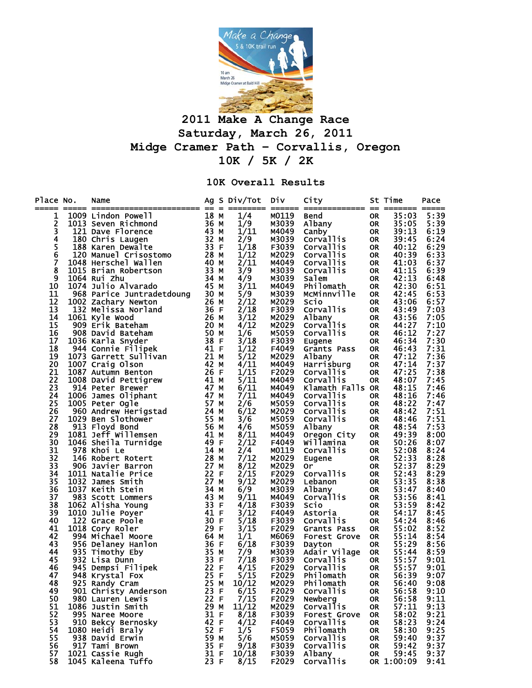

## **2011 Make A Change Race Saturday, March 26, 2011 Midge Cramer Path – Corvallis, Oregon 10K / 5K / 2K**

## **10K Overall Results**

| Place No.<br>===== | Name                                         |              |    | Ag S Div/Tot<br>________ | Div<br>$\qquad \qquad \overline{\qquad \qquad }$ | City<br>=============     |                        | St Time<br>--- -------- ----- | Pace         |
|--------------------|----------------------------------------------|--------------|----|--------------------------|--------------------------------------------------|---------------------------|------------------------|-------------------------------|--------------|
| 1                  | 1009 Lindon Powell                           |              |    | 1/4                      | M0119                                            | Bend                      | 0R                     | 35:03                         | 5:39         |
| 2                  | 18 M<br>36 M<br>43 M<br>1013 Seven Richmond  |              |    | 1/9                      | M3039                                            | Albany                    | <b>OR</b>              | 35:05                         | 5:39         |
| $\overline{3}$     | 121 Dave Florence                            |              |    | 1/11                     | M4049                                            | Canby                     | <b>OR</b>              | 39:13                         | 6:19         |
|                    | 180 Chris Laugen                             | 32 M         |    | 2/9                      | M3039                                            | Corvallis                 | <b>OR</b>              | 39:45                         | 6:24         |
| $\frac{5}{6}$      | 188 Karen Dewalte                            | 33 F         |    | 1/18                     | F3039                                            | Corvallis                 | <b>OR</b>              | 40:12                         | 6:29         |
|                    | 120 Manuel Crisostomo<br>048 Herschel Wallen | 28 M         |    | 1/12                     | M2029                                            | Corvallis                 | <b>OR</b>              | 40:39                         | 6:33         |
| 7                  | 1048 Herschel Wallen                         | 40 M         |    | 2/11                     | M4049                                            | Corvallis                 | <b>OR</b>              | 41:03                         | 6:37         |
| 8                  | 1015 Brian Robertson                         | 33 M         |    | 3/9                      | M3039                                            | Corvallis                 | <b>OR</b>              | 41:15                         | 6:39         |
| 9                  | 1064 Rui Zhu                                 | 34 M         |    | 4/9                      | M3039                                            | Salem                     | <b>OR</b>              | 42:13                         | 6:48         |
| 10                 | 1074 Julio Alvarado                          | 45 M         |    | 3/11                     | M4049                                            | Philomath                 | <b>OR</b>              | 42:30                         | 6:51         |
| 11<br>12           | 968 Parice Juntradetdoung 30 M               | 26 M         |    | 5/9<br>2/12              | M3039<br>M2029                                   | McMinnville<br>Scio       | <b>OR</b><br><b>OR</b> | 42:45<br>43:06                | 6:53<br>6:57 |
| 13                 | 1002 Zachary Newton<br>132 Melissa Norland   | 36 F         |    | 2/18                     | F3039                                            | Corvallis                 | <b>OR</b>              | 43:49                         | 7:03         |
| 14                 | 1061 Kyle Wood                               |              |    | 3/12                     | M2029                                            | Albany                    | <b>OR</b>              | 43:56                         | 7:05         |
| 15                 | 26 м<br>20 м<br>909 Erik Bateham             |              |    | 4/12                     | M2029                                            | <b>Corvallis</b>          | <b>OR</b>              | 44:27                         | 7:10         |
| 16                 | 908 David Bateham                            | 50 M         |    | 1/6                      | M5059                                            | Corvallis                 | <b>OR</b>              | 46:12                         | 7:27         |
| 17                 | 1036 Karla Snyder                            | 38 F         |    | 3/18                     | F3039                                            | Eugene                    | <b>OR</b>              | 46:34                         | 7:30         |
| 18                 | 944 Connie Filipek                           | 41 F         |    | 1/12                     | F4049                                            | Grants Pass               | <b>OR</b>              | 46:43                         | 7:31         |
| 19                 | $\overline{21}$ M<br>1073 Garrett Sullivan   |              |    | 5/12                     | M2029                                            | Albany                    | <b>OR</b>              | 47:12                         | 7:36         |
| 20                 | 1007 Craig Olson                             | 42 M         |    | 4/11                     | M4049                                            | Harrisburg                | <b>OR</b>              | 47:14                         | 7:37         |
| 21                 | 1087 Autumn Benton                           | 26F          |    | 1/15                     | F2029                                            | Corvallis                 | <b>OR</b>              | 47:25                         | 7:38         |
| 22                 | 1008 David Pettigrew                         | 41 M         |    | 5/11                     | M4049                                            | Corvallis                 | <b>OR</b>              | 48:07                         | 7:45         |
| 23                 | 914 Peter Brewer                             | 47 M         |    | 6/11                     | M4049                                            | Klamath Falls OR          |                        | 48:15                         | 7:46         |
| 24                 | 1006 James Oliphant                          | 47 M         |    | 7/11                     | M4049                                            | Corvallis                 | 0R                     | 48:16                         | 7:46         |
| 25                 | 1005 Peter Ogle                              | 57 M         |    | 2/6                      | M5059                                            | Corvallis                 | <b>OR</b>              | 48:22                         | 7:47         |
| 26                 | 960 Andrew Herigstad<br>029 Ben Slothower    | 24 M         |    | 6/12                     | M2029                                            | Corvallis                 | <b>OR</b>              | 48:42                         | 7:51         |
| 27<br>28           | 1029 Ben Slothower                           | 55 M         |    | 3/6                      | M5059                                            | Corvallis                 | <b>OR</b>              | 48:46                         | 7:51         |
| 29                 | 913 Floyd Bond<br>1081 Jeff Willemsen        | 56 M<br>41 M |    | 4/6<br>8/11              | M5059<br>M4049                                   | Albany                    | <b>OR</b><br><b>OR</b> | 48:54<br>49:39                | 7:53<br>8:00 |
| 30                 | 1046 Sheila Turnidge                         | 49 F         |    | 2/12                     | F4049                                            | Oregon City<br>willamina  | <b>OR</b>              | 50:26                         | 8:07         |
| 31                 | 978 Khoi Le                                  | 14 M         |    | 2/4                      | M0119                                            | <b>Corvallis</b>          | <b>OR</b>              | 52:08                         | 8:24         |
| 32                 | 146 Robert Rotert                            | 28 M         |    | 7/12                     | M2029                                            | Eugene                    | <b>OR</b>              | 52:33                         | 8:28         |
| 33                 | 906 Javier Barron                            | 27 M         |    | 8/12                     | M2029                                            | 0r                        | <b>OR</b>              | 52:37                         | 8:29         |
| 34                 | 1011 Natalie Price                           | 22 F         |    | 2/15                     | F2029                                            | Corvallis                 | <b>OR</b>              | 52:43                         | 8:29         |
| 35                 | 1032 James Smith                             | 27 M         |    | 9/12                     | M2029                                            | Lebanon                   | <b>OR</b>              | 53:35                         | 8:38         |
| 36                 | 1037 Keith Stein                             | 34 M         |    | 6/9                      | M3039                                            | Albany                    | <b>OR</b>              | 53:47                         | 8:40         |
| 37                 | 983 Scott Lommers                            | 43           | м  | 9/11                     | M4049                                            | <b>Corvallis</b>          | <b>OR</b>              | 53:56                         | 8:41         |
| 38                 | 1062 Alisha Young                            | 33           | -F | 4/18                     | F3039                                            | Scio                      | <b>OR</b>              | 53:59                         | 8:42         |
| 39                 | 1010 Julie Poyer                             | 41 F         |    | 3/12                     | F4049                                            | Astoria                   | <b>OR</b>              | 54:17                         | 8:45         |
| 40                 | 122 Grace Poole                              | 30 F         |    | 5/18                     | F3039                                            | Corvallis                 | <b>OR</b>              | 54:24                         | 8:46         |
| 41                 | 1018 Cory Roler                              | 29 F         |    | 3/15                     | F2029                                            | Grants Pass               | <b>OR</b>              | 55:02                         | 8:52         |
| 42                 | 994 Michael Moore                            | 64 M         |    | 1/1                      | M6069                                            | Forest Grove              | <b>OR</b>              | 55:14                         | 8:54         |
| 43                 | 956 Delaney Hanlon                           | 36 F<br>35 M |    | 6/18<br>7/9              | F3039                                            | Dayton                    | <b>OR</b>              | 55:29                         | 8:56         |
| 44<br>45           | 935 Timothy Eby<br>932 Lisa Dunn             | 33 F         |    | 7/18                     | M3039<br>F3039                                   | Adair Vilage<br>Corvallis | <b>OR</b><br><b>OR</b> | 55:44<br>55:57                | 8:59<br>9:01 |
| 46                 | 945 Dempsi Filipek                           | 22 F         |    | 4/15                     | F2029                                            | Corvallis                 | <b>OR</b>              | 55:57                         | 9:01         |
| 47                 | 948 Krystal Fox                              | 25 F         |    | 5/15                     | F2029                                            | Philomath                 | <b>OR</b>              | 56:39                         | 9:07         |
| 48                 | 25 M<br>925 Randy Cram                       |              |    | 10/12                    | M2029                                            | Philomath                 | OR                     | 56:40                         | 9:08         |
| 49                 | 901 Christy Anderson                         | 23 F         |    | 6/15                     | F2029                                            | Corvallis                 | 0R                     | 56:58                         | 9:10         |
| 50                 | 980 Lauren Lewis                             | 22 F         |    | 7/15                     | F2029                                            | Newberg                   | <b>OR</b>              | 56:58                         | 9:11         |
| 51                 | 1086 Justin Smith                            | 29           | м  | 11/12                    | M2029                                            | Corvallis                 | <b>OR</b>              | 57:11                         | 9:13         |
| 52                 | 995 Naree Moore                              | 31 F         |    | 8/18                     | F3039                                            | Forest Grove              | 0R                     | 58:02                         | 9:21         |
| 53                 | 910 Bekcy Bernosky                           | 42 F         |    | 4/12                     | F4049                                            | Corvallis                 | 0R.                    | 58:23                         | 9:24         |
| 54                 | 1080 Heidi Braly                             | 52 F         |    | 1/5                      | F5059                                            | Philomath                 | <b>OR</b>              | 58:30                         | 9:25         |
| 55                 | 938 David Erwin                              | 59           | м  | 5/6                      | M5059                                            | Corvallis                 | 0R                     | 59:40                         | 9:37         |
| 56                 | 917 Tami Brown                               | 35 F         |    | 9/18                     | F3039                                            | Corvallis                 | <b>OR</b>              | 59:42                         | 9:37         |
| 57                 | 1021 Cassie Rugh                             | 31 F         |    | 10/18                    | F3039                                            | Albany                    | <b>OR</b>              | 59:45                         | 9:37         |
| 58                 | 1045 Kaleena Tuffo                           | 23 F         |    | 8/15                     | F2029                                            | Corvallis                 |                        | OR 1:00:09                    | 9:41         |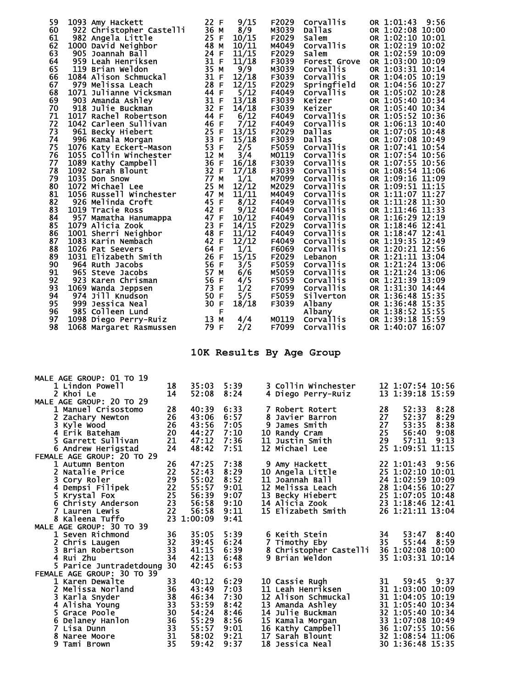| 59<br>1093 Amy Hackett<br>60<br>922 Christopher Castelli<br>61<br>982 Angela Little<br>62<br>1000 David Neighbor<br>63<br>905 Joannah Ball<br>64<br>959 Leah Henriksen<br>65<br>119 Brian Weldon<br>66<br>1084 Alison Schmuckal<br>67<br>979 Melissa Leach<br>68<br>1071 Julianne Vicksman<br>69<br>903 Amanda Ashley<br>70<br>918 Julie Buckman<br>71<br>1017 Rachel Robertson<br>72<br>1042 Carleen Sullivan<br>73<br>961 Becky Hiebert<br>74<br>996 Kamala Morgan<br>75<br>1076 Katy Eckert-Mason<br>1055 Collin Winchester<br>76<br>77<br>1089 Kathy Campbell<br>78<br>1092 Sarah Blount<br>79<br>1035 Don Snow<br>80<br>1072 Michael Lee<br>81<br>1056 Russell Winchester<br>82<br>926 Melinda Croft<br>83<br>1019 Tracie Ross<br>84<br>957 Mamatha Hanumappa<br>85<br>1079 Alicia Zook<br>86<br>1001 Sherri Neighbor<br>87<br>1083 Karin Nembach<br>88<br>1026 Pat Seevers<br>89<br>1031 Elizabeth Smith<br>90<br>964 Ruth Jacobs<br>91<br>965 Steve Jacobs<br>92<br>923 Karen Chrisman<br>93<br>1069 Wanda Jeppsen<br>94<br>974 Jill Knudson<br>95<br>999 Jessica Neal<br>96<br>985 Colleen Lund<br>97<br>1098 Diego Perry-Ruiz<br>98<br>1068 Margaret Rasmussen |          | 22 F<br>36 M<br>25 F<br>48 M<br>24 F<br>31 F<br>35 M<br>31 F<br>28 F<br>44 F<br>31 F<br>32 F<br>44 F<br>46 F<br>25 F<br>33 F<br>53 F<br>12 M<br>36 F<br>32 F<br>77 M<br>25 M<br>47 M<br>45 F<br>42 F<br>47 F<br>23 F<br>48 F<br>42 F<br>64 F<br>26 F<br>56 F<br>57 M<br>56 F<br>73 F<br>50 F<br>30 F<br>F<br>13 M<br>79 F | 9/15<br>8/9<br>10/15<br>10/11<br>11/15<br>11/18<br>9/9<br>12/18<br>12/15<br>5/12<br>13/18<br>14/18<br>6/12<br>7/12<br>13/15<br>15/18<br>2/5<br>3/4<br>16/18<br>17/18<br>1/1<br>12/12<br>11/11<br>8/12<br>9/12<br>10/12<br>14/15<br>11/12<br>12/12<br>1/1<br>15/15<br>3/5<br>6/6<br>4/5<br>1/2<br>5/5<br>18/18<br>4/4<br>2/2 | F2029<br>M3039<br>F2029<br>M4049<br>F2029<br>F3039<br>M3039<br>F3039<br>F2029<br>F4049<br>F3039<br>F3039<br>F4049<br>F4049<br>F2029<br>F3039<br>F5059<br>M0119<br>F3039<br>F3039<br>M7099<br>M2029<br>M4049<br>F4049<br>F4049<br>F4049<br>F2029<br>F4049<br>F4049<br>F6069<br>F2029<br>F5059<br>M5059<br>F5059<br>F7099<br>F5059<br>F3039<br>M0119<br>F7099 | Corvallis<br>Dallas<br><b>Salem</b><br><b>Corvallis</b><br><b>Salem</b><br>Forest Grove<br><b>Corvallis</b><br><b>Corvallis</b><br>Springfield<br><b>Corvallis</b><br>Keizer<br>Keizer<br><b>Corvallis</b><br>Corvallis<br>Dallas<br>Dallas<br><b>Corvallis</b><br><b>Corvallis</b><br><b>Corvallis</b><br><b>Corvallis</b><br><b>Corvallis</b><br><b>Corvallis</b><br>Corvallis<br><b>Corvallis</b><br><b>Corvallis</b><br><b>Corvallis</b><br>Corvallis<br><b>Corvallis</b><br>Corvallis<br><b>Corvallis</b><br>Lebanon<br><b>Corvallis</b><br><b>Corvallis</b><br>Corvallis<br><b>Corvallis</b><br><b>Silverton</b><br>Albany<br>Albany<br>Corvallis<br><b>Corvallis</b><br>10K Results By Age Group | OR 1:01:43<br>9:56<br>OR 1:02:08 10:00<br>OR 1:02:10 10:01<br>OR 1:02:19 10:02<br>OR 1:02:59 10:09<br>OR 1:03:00 10:09<br>OR 1:03:31 10:14<br>OR 1:04:05 10:19<br>OR 1:04:56 10:27<br>OR 1:05:02 10:28<br>OR 1:05:40 10:34<br>OR 1:05:40 10:34<br>OR 1:05:52 10:36<br>OR 1:06:13 10:40<br>OR 1:07:05 10:48<br>OR 1:07:08 10:49<br>OR 1:07:41 10:54<br>OR 1:07:54 10:56<br>OR 1:07:55 10:56<br>OR 1:08:54 11:06<br>OR 1:09:16 11:09<br>OR 1:09:51 11:15<br>OR 1:11:07 11:27<br>OR 1:11:28 11:30<br>OR 1:11:46 11:33<br>OR 1:16:29 12:19<br>OR 1:18:46 12:41<br>OR 1:18:47 12:41<br>OR 1:19:35 12:49<br>OR 1:20:21 12:56<br>OR 1:21:11 13:04<br>OR 1:21:24 13:06<br>OR 1:21:24 13:06<br>OR 1:21:39 13:09<br>OR 1:31:30 14:44<br>OR 1:36:48 15:35<br>OR 1:36:48 15:35<br>OR 1:38:52 15:55<br>OR 1:39:18 15:59<br>OR 1:40:07 16:07 |
|-------------------------------------------------------------------------------------------------------------------------------------------------------------------------------------------------------------------------------------------------------------------------------------------------------------------------------------------------------------------------------------------------------------------------------------------------------------------------------------------------------------------------------------------------------------------------------------------------------------------------------------------------------------------------------------------------------------------------------------------------------------------------------------------------------------------------------------------------------------------------------------------------------------------------------------------------------------------------------------------------------------------------------------------------------------------------------------------------------------------------------------------------------------------------|----------|---------------------------------------------------------------------------------------------------------------------------------------------------------------------------------------------------------------------------------------------------------------------------------------------------------------------------|-----------------------------------------------------------------------------------------------------------------------------------------------------------------------------------------------------------------------------------------------------------------------------------------------------------------------------|-------------------------------------------------------------------------------------------------------------------------------------------------------------------------------------------------------------------------------------------------------------------------------------------------------------------------------------------------------------|---------------------------------------------------------------------------------------------------------------------------------------------------------------------------------------------------------------------------------------------------------------------------------------------------------------------------------------------------------------------------------------------------------------------------------------------------------------------------------------------------------------------------------------------------------------------------------------------------------------------------------------------------------------------------------------------------------|--------------------------------------------------------------------------------------------------------------------------------------------------------------------------------------------------------------------------------------------------------------------------------------------------------------------------------------------------------------------------------------------------------------------------------------------------------------------------------------------------------------------------------------------------------------------------------------------------------------------------------------------------------------------------------------------------------------------------------------------------------------------------------------------------------------------------------|
| MALE AGE GROUP: 01 TO 19                                                                                                                                                                                                                                                                                                                                                                                                                                                                                                                                                                                                                                                                                                                                                                                                                                                                                                                                                                                                                                                                                                                                                |          |                                                                                                                                                                                                                                                                                                                           |                                                                                                                                                                                                                                                                                                                             |                                                                                                                                                                                                                                                                                                                                                             |                                                                                                                                                                                                                                                                                                                                                                                                                                                                                                                                                                                                                                                                                                         |                                                                                                                                                                                                                                                                                                                                                                                                                                                                                                                                                                                                                                                                                                                                                                                                                                |
| 1 Lindon Powell<br>2 Khoi Le                                                                                                                                                                                                                                                                                                                                                                                                                                                                                                                                                                                                                                                                                                                                                                                                                                                                                                                                                                                                                                                                                                                                            | 18<br>14 | 35:03<br>52:08                                                                                                                                                                                                                                                                                                            | 5:39<br>8:24                                                                                                                                                                                                                                                                                                                |                                                                                                                                                                                                                                                                                                                                                             | 3 Collin Winchester<br>4 Diego Perry-Ruiz                                                                                                                                                                                                                                                                                                                                                                                                                                                                                                                                                                                                                                                               | 12 1:07:54 10:56<br>13 1:39:18 15:59                                                                                                                                                                                                                                                                                                                                                                                                                                                                                                                                                                                                                                                                                                                                                                                           |
| MALE AGE GROUP: 20 TO 29                                                                                                                                                                                                                                                                                                                                                                                                                                                                                                                                                                                                                                                                                                                                                                                                                                                                                                                                                                                                                                                                                                                                                |          |                                                                                                                                                                                                                                                                                                                           |                                                                                                                                                                                                                                                                                                                             |                                                                                                                                                                                                                                                                                                                                                             |                                                                                                                                                                                                                                                                                                                                                                                                                                                                                                                                                                                                                                                                                                         |                                                                                                                                                                                                                                                                                                                                                                                                                                                                                                                                                                                                                                                                                                                                                                                                                                |
| Manuel Crisostomo<br>$\mathbf{2}$<br>Zachary Newton                                                                                                                                                                                                                                                                                                                                                                                                                                                                                                                                                                                                                                                                                                                                                                                                                                                                                                                                                                                                                                                                                                                     | 28<br>26 | 40:39<br>43:06                                                                                                                                                                                                                                                                                                            | 6:33<br>6:57                                                                                                                                                                                                                                                                                                                |                                                                                                                                                                                                                                                                                                                                                             | Robert Rotert<br>8 Javier Barron                                                                                                                                                                                                                                                                                                                                                                                                                                                                                                                                                                                                                                                                        | 28<br>52:33<br>8:28<br>27<br>52:37<br>8:29                                                                                                                                                                                                                                                                                                                                                                                                                                                                                                                                                                                                                                                                                                                                                                                     |
| 3.<br>Kyle Wood                                                                                                                                                                                                                                                                                                                                                                                                                                                                                                                                                                                                                                                                                                                                                                                                                                                                                                                                                                                                                                                                                                                                                         | 26       | 43:56                                                                                                                                                                                                                                                                                                                     | 7:05                                                                                                                                                                                                                                                                                                                        | 9 James Smith                                                                                                                                                                                                                                                                                                                                               |                                                                                                                                                                                                                                                                                                                                                                                                                                                                                                                                                                                                                                                                                                         | 27<br>53:35<br>8:38                                                                                                                                                                                                                                                                                                                                                                                                                                                                                                                                                                                                                                                                                                                                                                                                            |
| 4 Erik Bateham                                                                                                                                                                                                                                                                                                                                                                                                                                                                                                                                                                                                                                                                                                                                                                                                                                                                                                                                                                                                                                                                                                                                                          | 20       | 44:27                                                                                                                                                                                                                                                                                                                     | 7:10                                                                                                                                                                                                                                                                                                                        | 10 Randy Cram                                                                                                                                                                                                                                                                                                                                               |                                                                                                                                                                                                                                                                                                                                                                                                                                                                                                                                                                                                                                                                                                         | 25<br>56:40<br>9:08                                                                                                                                                                                                                                                                                                                                                                                                                                                                                                                                                                                                                                                                                                                                                                                                            |
| 5 Garrett Sullivan<br>6 Andrew Herigstad                                                                                                                                                                                                                                                                                                                                                                                                                                                                                                                                                                                                                                                                                                                                                                                                                                                                                                                                                                                                                                                                                                                                | 21<br>24 | 47:12<br>48:42                                                                                                                                                                                                                                                                                                            | 7:36<br>7:51                                                                                                                                                                                                                                                                                                                | 11 Justin Smith<br>12 Michael Lee                                                                                                                                                                                                                                                                                                                           |                                                                                                                                                                                                                                                                                                                                                                                                                                                                                                                                                                                                                                                                                                         | 29<br>57:11<br>9:13<br>25 1:09:51 11:15                                                                                                                                                                                                                                                                                                                                                                                                                                                                                                                                                                                                                                                                                                                                                                                        |
| FEMALE AGE GROUP: 20 TO 29                                                                                                                                                                                                                                                                                                                                                                                                                                                                                                                                                                                                                                                                                                                                                                                                                                                                                                                                                                                                                                                                                                                                              |          |                                                                                                                                                                                                                                                                                                                           |                                                                                                                                                                                                                                                                                                                             |                                                                                                                                                                                                                                                                                                                                                             |                                                                                                                                                                                                                                                                                                                                                                                                                                                                                                                                                                                                                                                                                                         |                                                                                                                                                                                                                                                                                                                                                                                                                                                                                                                                                                                                                                                                                                                                                                                                                                |
| 1 Autumn Benton                                                                                                                                                                                                                                                                                                                                                                                                                                                                                                                                                                                                                                                                                                                                                                                                                                                                                                                                                                                                                                                                                                                                                         | 26       | 47:25                                                                                                                                                                                                                                                                                                                     | 7:38                                                                                                                                                                                                                                                                                                                        | 9 Amy Hackett                                                                                                                                                                                                                                                                                                                                               |                                                                                                                                                                                                                                                                                                                                                                                                                                                                                                                                                                                                                                                                                                         | 22 1:01:43 9:56                                                                                                                                                                                                                                                                                                                                                                                                                                                                                                                                                                                                                                                                                                                                                                                                                |
| 2 Natalie Price<br>3 Cory Roler                                                                                                                                                                                                                                                                                                                                                                                                                                                                                                                                                                                                                                                                                                                                                                                                                                                                                                                                                                                                                                                                                                                                         | 22<br>29 | 52:43<br>55:02                                                                                                                                                                                                                                                                                                            | 8:29<br>8:52                                                                                                                                                                                                                                                                                                                |                                                                                                                                                                                                                                                                                                                                                             | 10 Angela Little<br>11 Joannah Ball                                                                                                                                                                                                                                                                                                                                                                                                                                                                                                                                                                                                                                                                     | 25 1:02:10 10:01<br>24 1:02:59 10:09                                                                                                                                                                                                                                                                                                                                                                                                                                                                                                                                                                                                                                                                                                                                                                                           |
| 4 Dempsi Filipek                                                                                                                                                                                                                                                                                                                                                                                                                                                                                                                                                                                                                                                                                                                                                                                                                                                                                                                                                                                                                                                                                                                                                        | 22       | 55:57                                                                                                                                                                                                                                                                                                                     | 9:01                                                                                                                                                                                                                                                                                                                        |                                                                                                                                                                                                                                                                                                                                                             | 12 Melissa Leach                                                                                                                                                                                                                                                                                                                                                                                                                                                                                                                                                                                                                                                                                        | 28 1:04:56 10:27                                                                                                                                                                                                                                                                                                                                                                                                                                                                                                                                                                                                                                                                                                                                                                                                               |
| 5 Krystal Fox                                                                                                                                                                                                                                                                                                                                                                                                                                                                                                                                                                                                                                                                                                                                                                                                                                                                                                                                                                                                                                                                                                                                                           | 25       | 56:39                                                                                                                                                                                                                                                                                                                     | 9:07                                                                                                                                                                                                                                                                                                                        |                                                                                                                                                                                                                                                                                                                                                             | 13 Becky Hiebert                                                                                                                                                                                                                                                                                                                                                                                                                                                                                                                                                                                                                                                                                        | 25 1:07:05 10:48                                                                                                                                                                                                                                                                                                                                                                                                                                                                                                                                                                                                                                                                                                                                                                                                               |
| 6 Christy Anderson                                                                                                                                                                                                                                                                                                                                                                                                                                                                                                                                                                                                                                                                                                                                                                                                                                                                                                                                                                                                                                                                                                                                                      | 23<br>22 | 56:58                                                                                                                                                                                                                                                                                                                     | 9:10                                                                                                                                                                                                                                                                                                                        | 14 Alicia Zook                                                                                                                                                                                                                                                                                                                                              | 15 Elizabeth Smith                                                                                                                                                                                                                                                                                                                                                                                                                                                                                                                                                                                                                                                                                      | 23 1:18:46 12:41<br>26 1:21:11 13:04                                                                                                                                                                                                                                                                                                                                                                                                                                                                                                                                                                                                                                                                                                                                                                                           |
| 7 Lauren Lewis<br>8 Kaleena Tuffo                                                                                                                                                                                                                                                                                                                                                                                                                                                                                                                                                                                                                                                                                                                                                                                                                                                                                                                                                                                                                                                                                                                                       |          | 56:58<br>23 1:00:09                                                                                                                                                                                                                                                                                                       | 9:11<br>9:41                                                                                                                                                                                                                                                                                                                |                                                                                                                                                                                                                                                                                                                                                             |                                                                                                                                                                                                                                                                                                                                                                                                                                                                                                                                                                                                                                                                                                         |                                                                                                                                                                                                                                                                                                                                                                                                                                                                                                                                                                                                                                                                                                                                                                                                                                |
| MALE AGE GROUP: 30 TO 39                                                                                                                                                                                                                                                                                                                                                                                                                                                                                                                                                                                                                                                                                                                                                                                                                                                                                                                                                                                                                                                                                                                                                |          |                                                                                                                                                                                                                                                                                                                           |                                                                                                                                                                                                                                                                                                                             |                                                                                                                                                                                                                                                                                                                                                             |                                                                                                                                                                                                                                                                                                                                                                                                                                                                                                                                                                                                                                                                                                         |                                                                                                                                                                                                                                                                                                                                                                                                                                                                                                                                                                                                                                                                                                                                                                                                                                |
| 1 Seven Richmond                                                                                                                                                                                                                                                                                                                                                                                                                                                                                                                                                                                                                                                                                                                                                                                                                                                                                                                                                                                                                                                                                                                                                        | 36       | 35:05                                                                                                                                                                                                                                                                                                                     | 5:39                                                                                                                                                                                                                                                                                                                        | 6 Keith Stein                                                                                                                                                                                                                                                                                                                                               |                                                                                                                                                                                                                                                                                                                                                                                                                                                                                                                                                                                                                                                                                                         | 34<br>53:47<br>8:40                                                                                                                                                                                                                                                                                                                                                                                                                                                                                                                                                                                                                                                                                                                                                                                                            |
| 2 Chris Laugen<br>3 Brian Robertson                                                                                                                                                                                                                                                                                                                                                                                                                                                                                                                                                                                                                                                                                                                                                                                                                                                                                                                                                                                                                                                                                                                                     | 32<br>33 | 39:45<br>41:15                                                                                                                                                                                                                                                                                                            | 6:24<br>6:39                                                                                                                                                                                                                                                                                                                | 7 Timothy Eby                                                                                                                                                                                                                                                                                                                                               |                                                                                                                                                                                                                                                                                                                                                                                                                                                                                                                                                                                                                                                                                                         | 35<br>55:44<br>8:59<br>8 Christopher Castelli 36 1:02:08 10:00                                                                                                                                                                                                                                                                                                                                                                                                                                                                                                                                                                                                                                                                                                                                                                 |
| 4 Rui Zhu                                                                                                                                                                                                                                                                                                                                                                                                                                                                                                                                                                                                                                                                                                                                                                                                                                                                                                                                                                                                                                                                                                                                                               | 34       | 42:13                                                                                                                                                                                                                                                                                                                     | 6:48                                                                                                                                                                                                                                                                                                                        |                                                                                                                                                                                                                                                                                                                                                             | 9 Brian Weldon                                                                                                                                                                                                                                                                                                                                                                                                                                                                                                                                                                                                                                                                                          | 35 1:03:31 10:14                                                                                                                                                                                                                                                                                                                                                                                                                                                                                                                                                                                                                                                                                                                                                                                                               |
| 5 Parice Juntradetdoung 30                                                                                                                                                                                                                                                                                                                                                                                                                                                                                                                                                                                                                                                                                                                                                                                                                                                                                                                                                                                                                                                                                                                                              |          | 42:45                                                                                                                                                                                                                                                                                                                     | 6:53                                                                                                                                                                                                                                                                                                                        |                                                                                                                                                                                                                                                                                                                                                             |                                                                                                                                                                                                                                                                                                                                                                                                                                                                                                                                                                                                                                                                                                         |                                                                                                                                                                                                                                                                                                                                                                                                                                                                                                                                                                                                                                                                                                                                                                                                                                |
| FEMALE AGE GROUP: 30 TO 39                                                                                                                                                                                                                                                                                                                                                                                                                                                                                                                                                                                                                                                                                                                                                                                                                                                                                                                                                                                                                                                                                                                                              | 33       |                                                                                                                                                                                                                                                                                                                           |                                                                                                                                                                                                                                                                                                                             |                                                                                                                                                                                                                                                                                                                                                             |                                                                                                                                                                                                                                                                                                                                                                                                                                                                                                                                                                                                                                                                                                         |                                                                                                                                                                                                                                                                                                                                                                                                                                                                                                                                                                                                                                                                                                                                                                                                                                |
| 1 Karen Dewalte<br>2 Melissa Norland                                                                                                                                                                                                                                                                                                                                                                                                                                                                                                                                                                                                                                                                                                                                                                                                                                                                                                                                                                                                                                                                                                                                    | 36       | 40:12<br>43:49                                                                                                                                                                                                                                                                                                            | 6:29<br>7:03                                                                                                                                                                                                                                                                                                                | 10 Cassie Rugh                                                                                                                                                                                                                                                                                                                                              | 11 Leah Henriksen                                                                                                                                                                                                                                                                                                                                                                                                                                                                                                                                                                                                                                                                                       | 31<br>59:45 9:37<br>31 1:03:00 10:09                                                                                                                                                                                                                                                                                                                                                                                                                                                                                                                                                                                                                                                                                                                                                                                           |
| 3 Karla Snyder                                                                                                                                                                                                                                                                                                                                                                                                                                                                                                                                                                                                                                                                                                                                                                                                                                                                                                                                                                                                                                                                                                                                                          | 38       | 46:34                                                                                                                                                                                                                                                                                                                     | 7:30                                                                                                                                                                                                                                                                                                                        |                                                                                                                                                                                                                                                                                                                                                             | 12 Alison Schmuckal                                                                                                                                                                                                                                                                                                                                                                                                                                                                                                                                                                                                                                                                                     | 31 1:04:05 10:19                                                                                                                                                                                                                                                                                                                                                                                                                                                                                                                                                                                                                                                                                                                                                                                                               |
| 4 Alisha Young                                                                                                                                                                                                                                                                                                                                                                                                                                                                                                                                                                                                                                                                                                                                                                                                                                                                                                                                                                                                                                                                                                                                                          | 33       | 53:59                                                                                                                                                                                                                                                                                                                     | 8:42                                                                                                                                                                                                                                                                                                                        |                                                                                                                                                                                                                                                                                                                                                             | 13 Amanda Ashley                                                                                                                                                                                                                                                                                                                                                                                                                                                                                                                                                                                                                                                                                        | 31 1:05:40 10:34                                                                                                                                                                                                                                                                                                                                                                                                                                                                                                                                                                                                                                                                                                                                                                                                               |
| 5 Grace Poole<br>6 Delaney Hanlon                                                                                                                                                                                                                                                                                                                                                                                                                                                                                                                                                                                                                                                                                                                                                                                                                                                                                                                                                                                                                                                                                                                                       | 30<br>36 | 54:24<br>55:29                                                                                                                                                                                                                                                                                                            | 8:46<br>8:56                                                                                                                                                                                                                                                                                                                |                                                                                                                                                                                                                                                                                                                                                             | 14 Julie Buckman<br>15 Kamala Morgan                                                                                                                                                                                                                                                                                                                                                                                                                                                                                                                                                                                                                                                                    | 32 1:05:40 10:34<br>33 1:07:08 10:49                                                                                                                                                                                                                                                                                                                                                                                                                                                                                                                                                                                                                                                                                                                                                                                           |
| 7 Lisa Dunn                                                                                                                                                                                                                                                                                                                                                                                                                                                                                                                                                                                                                                                                                                                                                                                                                                                                                                                                                                                                                                                                                                                                                             | 33       | 55:57                                                                                                                                                                                                                                                                                                                     | 9:01                                                                                                                                                                                                                                                                                                                        |                                                                                                                                                                                                                                                                                                                                                             | 16 Kathy Campbell                                                                                                                                                                                                                                                                                                                                                                                                                                                                                                                                                                                                                                                                                       | 36 1:07:55 10:56                                                                                                                                                                                                                                                                                                                                                                                                                                                                                                                                                                                                                                                                                                                                                                                                               |
| 8<br>Naree Moore                                                                                                                                                                                                                                                                                                                                                                                                                                                                                                                                                                                                                                                                                                                                                                                                                                                                                                                                                                                                                                                                                                                                                        | 31       | 58:02                                                                                                                                                                                                                                                                                                                     | 9:21                                                                                                                                                                                                                                                                                                                        | 17 Sarah Blount                                                                                                                                                                                                                                                                                                                                             |                                                                                                                                                                                                                                                                                                                                                                                                                                                                                                                                                                                                                                                                                                         | 32 1:08:54 11:06                                                                                                                                                                                                                                                                                                                                                                                                                                                                                                                                                                                                                                                                                                                                                                                                               |
| 9 Tami Brown                                                                                                                                                                                                                                                                                                                                                                                                                                                                                                                                                                                                                                                                                                                                                                                                                                                                                                                                                                                                                                                                                                                                                            | 35       | 59:42                                                                                                                                                                                                                                                                                                                     | 9:37                                                                                                                                                                                                                                                                                                                        | 18 Jessica Neal                                                                                                                                                                                                                                                                                                                                             |                                                                                                                                                                                                                                                                                                                                                                                                                                                                                                                                                                                                                                                                                                         | 30 1:36:48 15:35                                                                                                                                                                                                                                                                                                                                                                                                                                                                                                                                                                                                                                                                                                                                                                                                               |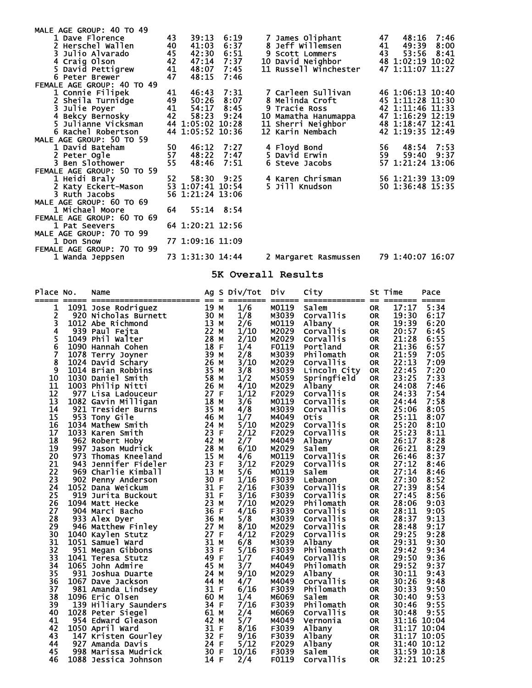| MALE AGE GROUP: 40 TO 49   |     |                  |                |                        |    |                  |        |
|----------------------------|-----|------------------|----------------|------------------------|----|------------------|--------|
| 1 Dave Florence            | 43  |                  | 39:13 6:19     | 7 James Oliphant       | 47 | 48:16 7:46       |        |
| 2 Herschel Wallen          | 40  | 41:03            | 6:37           | 8 Jeff Willemsen       | 41 | 49:39 8:00       |        |
| 3 Julio Alvarado           | 45  | 42:30            | 6:51           | <b>9 Scott Lommers</b> | 43 | 53:56            | - 8:41 |
| 4 Craig Olson              | 42  | 47:14            | 7:37           | 10 David Neighbor      |    | 48 1:02:19 10:02 |        |
| 5 David Pettigrew          | 41  | 48:07            | 7:45           | 11 Russell Winchester  |    | 47 1:11:07 11:27 |        |
| 6 Peter Brewer             | 47  | 48:15            | 7:46           |                        |    |                  |        |
| FEMALE AGE GROUP: 40 TO 49 |     |                  |                |                        |    |                  |        |
| 1 Connie Filipek           | 41  | 46:43 7:31       |                | 7 Carleen Sullivan     |    | 46 1:06:13 10:40 |        |
| 2 Sheila Turnidge          | 49  | 50:26            | 8:07           | <b>8 Melinda Croft</b> |    | 45 1:11:28 11:30 |        |
| 3 Julie Poyer              | 41  | 54:17            | 8:45           | 9 Tracie Ross          |    | 42 1:11:46 11:33 |        |
| 4 Bekcy Bernosky           | 42  | 58:23            | 9:24           | 10 Mamatha Hanumappa   |    | 47 1:16:29 12:19 |        |
| 5 Julianne Vicksman        |     | 44 1:05:02 10:28 |                | 11 Sherri Neighbor     |    | 48 1:18:47 12:41 |        |
| 6 Rachel Robertson         |     | 44 1:05:52 10:36 |                | 12 Karin Nembach       |    | 42 1:19:35 12:49 |        |
| MALE AGE GROUP: 50 TO 59   |     |                  |                |                        |    |                  |        |
| 1 David Bateham            | 50  | 46:12            | 7:27           | 4 Floyd Bond           | 56 | 48:54 7:53       |        |
| 2 Peter Ogle               | 57  | 48:22            | 7:47           | 5 David Erwin          | 59 | 59:40            | 9:37   |
| 3 Ben Slothower            | 55  | 48:46            | 7:51           | 6 Steve Jacobs         |    | 57 1:21:24 13:06 |        |
| FEMALE AGE GROUP: 50 TO 59 |     |                  |                |                        |    |                  |        |
| 1 Heidi Braly              | 52. |                  | 58:30 9:25     | 4 Karen Chrisman       |    | 56 1:21:39 13:09 |        |
| 2 Katy Eckert-Mason        |     | 53 1:07:41 10:54 |                | 5 Jill Knudson         |    | 50 1:36:48 15:35 |        |
| 3 Ruth Jacobs              |     | 56 1:21:24 13:06 |                |                        |    |                  |        |
| MALE AGE GROUP: 60 TO 69   |     |                  |                |                        |    |                  |        |
| 1 Michael Moore            | 64  |                  | $55:14$ $8:54$ |                        |    |                  |        |
| FEMALE AGE GROUP: 60 TO 69 |     |                  |                |                        |    |                  |        |
| 1 Pat Seevers              |     | 64 1:20:21 12:56 |                |                        |    |                  |        |
| MALE AGE GROUP: 70 TO 99   |     |                  |                |                        |    |                  |        |
| 1 Don Snow                 |     | 77 1:09:16 11:09 |                |                        |    |                  |        |
| FEMALE AGE GROUP: 70 TO 99 |     |                  |                |                        |    |                  |        |
| 1 Wanda Jeppsen            |     | 73 1:31:30 14:44 |                | 2 Margaret Rasmussen   |    | 79 1:40:07 16:07 |        |
|                            |     |                  |                |                        |    |                  |        |

**5K Overall Results** 

| Place No. | Name<br><u> ===   =======================</u> | $==$         | $\equiv$ | Ag S Div/Tot | Div            | City                          | $==$                   | St Time<br>====== | Pace         |
|-----------|-----------------------------------------------|--------------|----------|--------------|----------------|-------------------------------|------------------------|-------------------|--------------|
| 1         | 1091 Jose Rodriguez                           | 19 M         |          | 1/6          | M0119          | Salem                         | <b>OR</b>              | 17:17             | 5:34         |
| 2         | 920 Nicholas Burnett                          | 30 M         |          | 1/8          | M3039          | Corvallis                     | <b>OR</b>              | 19:30             | 6:17         |
| 3         | 1012 Abe Richmond                             | 13 M         |          | 2/6          | M0119          | Albany                        | <b>OR</b>              | 19:39             | 6:20         |
| 4         | 939 Paul Fejta                                | 22 M         |          | 1/10         | M2029          | <b>Corvallis</b>              | <b>OR</b>              | 20:57             | 6:45         |
| 5<br>6    | 1049 Phil Walter                              | 28           | м        | 2/10         | M2029          | Corvallis                     | <b>OR</b>              | 21:28             | 6:55         |
|           | 1090 Hannah Cohen                             | 18           | -F       | 1/4          | F0119          | Portland                      | <b>OR</b>              | 21:36             | 6:57         |
| 7         | 1078 Terry Joyner                             | 39 M         |          | 2/8          | M3039          | Philomath                     | <b>OR</b>              | 21:59             | 7:05         |
| 8         | 1024 David Schary                             | 26 M         |          | 3/10         | M2029          | Corvallis                     | <b>OR</b>              | 22:13             | 7:09         |
| ğ         | 1014 Brian Robbins                            | 35           | M        | 3/8          | M3039          | Lincoln City                  | <b>OR</b>              | 22:45             | 7:20         |
| 10        | 1030 Daniel Smith                             | 58           | м        | 1/2          | M5059          | Springfield                   | <b>OR</b>              | 23:25             | 7:33         |
| 11<br>12  | 1003 Philip Nitti                             | 26 M<br>27 F |          | 4/10         | M2029          | Albany                        | <b>OR</b>              | 24:08             | 7:46         |
| 13        | 977 Lisa Ladouceur<br>1082 Gavin Milligan     | 18           | м        | 1/12<br>3/6  | F2029<br>M0119 | Corvallis<br><b>Corvallis</b> | <b>OR</b><br><b>OR</b> | 24:33<br>24:44    | 7:54<br>7:58 |
| 14        | 921 Tresider Burns                            | 35 M         |          | 4/8          | M3039          | Corvallis                     | <b>OR</b>              | 25:06             | 8:05         |
| 15        | 953 Tony Gile                                 | 46           | м        | 1/7          | M4049          | Otis                          | <b>OR</b>              | 25:11             | 8:07         |
| 16        | 1034 Mathew Smith                             | 24           | М        | 5/10         | M2029          | Corvallis                     | <b>OR</b>              | 25:20             | 8:10         |
| 17        | 1033 Karen Smith                              | 23           | -F       | 2/12         | F2029          | Corvallis                     | <b>OR</b>              | 25:23             | 8:11         |
| 18        | 962 Robert Hoby                               | 42           | M        | 2/7          | M4049          | Albany                        | <b>OR</b>              | 26:17             | 8:28         |
| 19        | 997 Jason Mudrick                             | 28           | м        | 6/10         | M2029          | Salem                         | <b>OR</b>              | 26:21             | 8:29         |
| 20        | 973 Thomas Kneeland                           | 15           | м        | 4/6          | M0119          | Corvallis                     | <b>OR</b>              | 26:46             | 8:37         |
| 21        | 943 Jennifer Fideler                          | 23 F         |          | 3/12         | F2029          | Corvallis                     | <b>OR</b>              | 27:12             | 8:46         |
| 22        | 969 Charlie Kimball                           | 13 M         |          | 5/6          | M0119          | Salem                         | <b>OR</b>              | 27:14             | 8:46         |
| 23        | 902 Penny Anderson                            | 30 F         |          | 1/16         | F3039          | Lebanon                       | <b>OR</b>              | 27:30             | 8:52         |
| 24        | 1052 Dana Weickum                             | 31 F         |          | 2/16         | F3039          | Corvallis                     | <b>OR</b>              | 27:39             | 8:54         |
| 25        | 919 Jurita Buckout                            | 31 F         |          | 3/16         | F3039          | Corvallis                     | <b>OR</b>              | 27:45             | 8:56         |
| 26        | 1094 Matt Hecke                               | 23 M         |          | 7/10         | M2029          | Philomath                     | <b>OR</b>              | 28:06             | 9:03         |
| 27        | 904 Marci Bacho                               | 36 F         |          | 4/16         | F3039          | Corvallis                     | <b>OR</b>              | 28:11             | 9:05         |
| 28        | 933 Alex Dyer                                 | 36 M         |          | 5/8          | M3039          | <b>Corvallis</b>              | <b>OR</b>              | 28:37             | 9:13         |
| 29        | 946 Matthew Finley                            | 27 M         |          | 8/10         | M2029          | Corvallis                     | <b>OR</b>              | 28:48             | 9:17         |
| 30<br>31  | 1040 Kaylen Stutz                             | 27 F<br>31 M |          | 4/12         | F2029          | Corvallis                     | <b>OR</b>              | 29:25             | 9:28<br>9:30 |
| 32        | 1051 Samuel Ward<br>951 Megan Gibbons         | 33           | -F       | 6/8<br>5/16  | M3039<br>F3039 | Albany<br>Philomath           | <b>OR</b><br><b>OR</b> | 29:31<br>29:42    | 9:34         |
| 33        | 1041 Teresa Stutz                             | 49           | -F       | 1/7          | F4049          | <b>Corvallis</b>              | <b>OR</b>              | 29:50             | 9:36         |
| 34        | 1065 John Admire                              | 45 M         |          | 3/7          | M4049          | Philomath                     | <b>OR</b>              | 29:52             | 9:37         |
| 35        | 931 Joshua Duarte                             | 24 M         |          | 9/10         | M2029          | Albany                        | <b>OR</b>              | 30:11             | 9:43         |
| 36        | 1067 Dave Jackson                             | 44 M         |          | 4/7          | M4049          | Corvallis                     | <b>OR</b>              | 30:26             | 9:48         |
| 37        | 981 Amanda Lindsey                            | 31 F         |          | 6/16         | F3039          | Philomath                     | <b>OR</b>              | 30:33             | 9:50         |
| 38        | 1096 Eric Olsen                               | 60 M         |          | 1/4          | M6069          | Salem                         | <b>OR</b>              | 30:40             | 9:53         |
| 39        | 139 Hiliary Saunders                          | 34 F         |          | 7/16         | F3039          | Philomath                     | <b>OR</b>              | 30:46             | 9:55         |
| 40        | 1028 Peter Siegel                             | 61 M         |          | 2/4          | M6069          | <b>Corvallis</b>              | <b>OR</b>              | 30:48             | 9:55         |
| 41        | 954 Edward Gleason                            | 42 M         |          | 5/7          | M4049          | Vernonia                      | <b>OR</b>              |                   | 31:16 10:04  |
| 42        | 1050 April Ward                               | 31 F         |          | 8/16         | F3039          | Albany                        | <b>OR</b>              |                   | 31:17 10:04  |
| 43        | 147 Kristen Gourley                           | 32 F         |          | 9/16         | F3039          | Albany                        | <b>OR</b>              |                   | 31:17 10:05  |
| 44        | 927 Amanda Davis                              | 24           | F        | 5/12         | F2029          | Albany                        | <b>OR</b>              |                   | 31:40 10:12  |
| 45        | 998 Marissa Mudrick                           | 30           | F        | 10/16        | F3039          | Salem                         | <b>OR</b>              |                   | 31:59 10:18  |

46 1088 Jessica Johnson 14 F 2/4 F0119 Corvallis OR 32:21 10:25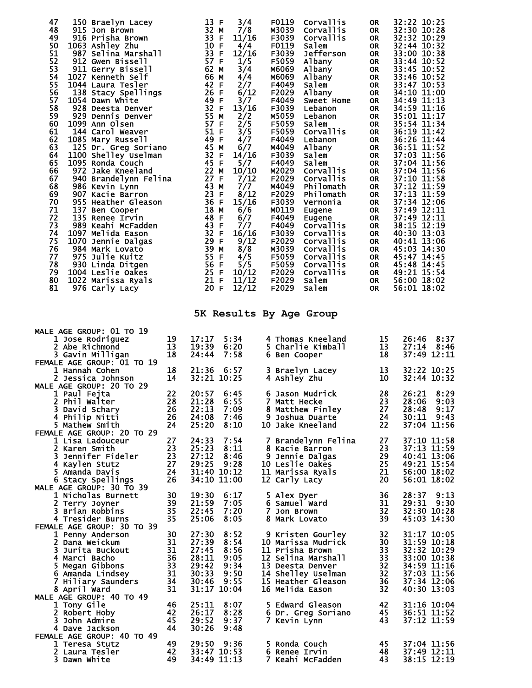| 47<br>150 Braelyn Lacey<br>48<br>915 Jon Brown<br>49<br>916 Prisha Brown<br>50<br>1063 Ashley Zhu<br>51<br>987 Selina Marshall<br>52<br>912 Gwen Bissell<br>53<br>911 Gerry Bissell<br>54<br>1027 Kenneth Self<br>55<br>1044 Laura Tesler<br>56<br>138 Stacy Spellings<br>57<br>1054 Dawn White<br>58<br>928 Deesta Denver<br>59<br>929 Dennis Denver<br>60<br>1099 Ann Olsen<br>61<br>144 Carol Weaver<br>62<br>1085 Mary Russell<br>63<br>125 Dr. Greg Soriano<br>64<br>1100 Shelley Uselman<br>65<br>1095 Ronda Couch<br>66<br>972 Jake Kneeland<br>67<br>940 Brandelynn Felina<br>68<br>986 Kevin Lynn<br>69<br>907 Kacie Barron<br>70<br>955 Heather Gleason<br>71<br>137 Ben Cooper<br>72<br>135 Renee Irvin<br>73<br>989 Keahi McFadden<br>74<br>1097 Melida Eason<br>75<br>1070 Jennie Dalgas<br>76<br>984 Mark Lovato<br>77<br>975 Julie Kuitz<br>78<br>930 Linda Ditgen<br>79<br>1004 Leslie Oakes<br>80<br>1022 Marissa Ryals<br>81<br>976 Carly Lacy | 13 F<br>3/4<br>32 M<br>7/8<br>33 F<br>11/16<br>10 F<br>4/4<br>33 F<br>12/16<br>57 F<br>1/5<br>3/4<br>62 M<br>66 M<br>4/4<br>42 F<br>2/7<br>26 F<br>6/12<br>49 F<br>3/7<br>32 F<br>13/16<br>55 M<br>2/2<br>57 F<br>2/5<br>51 F<br>3/5<br>49 F<br>4/7<br>45 M<br>6/7<br>32 F<br>14/16<br>45 F<br>5/7<br>22 M<br>10/10<br>27 F<br>7/12<br>43 M<br>7/7<br>23 F<br>8/12<br>36 F<br>15/16<br>18 M<br>6/6<br>48 F<br>6/7<br>7/7<br>43 F<br>32 F<br>16/16<br>29 F<br>9/12<br>39 M<br>8/8<br>55 F<br>4/5<br>56 F<br>5/5<br>25 F<br>10/12<br>21 F<br>11/12<br>20 F<br>12/12 | F0119<br><b>Corvallis</b><br>M3039<br><b>Corvallis</b><br>F3039<br><b>Corvallis</b><br>F0119<br><b>Salem</b><br>F3039<br>Jefferson<br>F5059<br>Albany<br>м6069<br>Albany<br>M6069<br>Albany<br>F4049<br>Salem<br>F2029<br>Albany<br>F4049<br>Sweet Home<br>F3039<br>Lebanon<br>M5059<br>Lebanon<br>F5059<br><b>Salem</b><br>Corvallis<br>F5059<br>F4049<br>Lebanon<br>M4049<br>Albany<br>F3039<br>Salem<br>F4049<br>Salem<br>M2029<br>Corvallis<br>F2029<br>Corvallis<br>M4049<br>Philomath<br>F2029<br>Philomath<br>F3039<br>Vernonia<br>M0119<br>Eugene<br>F4049<br>Eugene<br>F4049<br>Corvallis<br>F3039<br><b>Corvallis</b><br>F2029<br>Corvallis<br>M3039<br><b>Corvallis</b><br>F5059<br><b>Corvallis</b><br>F5059<br><b>Corvallis</b><br>F2029<br><b>Corvallis</b><br>F2029<br>Salem<br>F2029<br>Salem | 32:22 10:25<br>0R<br>32:30 10:28<br><b>OR</b><br>32:32 10:29<br><b>OR</b><br>32:44 10:32<br><b>OR</b><br>33:00 10:38<br><b>OR</b><br>33:44 10:52<br><b>OR</b><br>33:45 10:52<br><b>OR</b><br>33:46 10:52<br><b>OR</b><br>33:47 10:53<br><b>OR</b><br>34:10 11:00<br><b>OR</b><br>34:49 11:13<br><b>OR</b><br>34:59 11:16<br><b>OR</b><br>35:01 11:17<br><b>OR</b><br>35:54 11:34<br><b>OR</b><br>36:19 11:42<br><b>OR</b><br>36:26 11:44<br><b>OR</b><br>36:51 11:52<br><b>OR</b><br>37:03 11:56<br><b>OR</b><br>37:04 11:56<br><b>OR</b><br>37:04 11:56<br><b>OR</b><br>37:10 11:58<br><b>OR</b><br>37:12 11:59<br><b>OR</b><br>37:13 11:59<br>OR<br>37:34 12:06<br><b>OR</b><br>37:49 12:11<br><b>OR</b><br>37:49 12:11<br><b>OR</b><br>38:15 12:19<br>OR<br>40:30 13:03<br><b>OR</b><br>40:41 13:06<br>OR<br>45:03 14:30<br><b>OR</b><br>45:47 14:45<br>OR.<br>45:48 14:45<br><b>OR</b><br>49:21 15:54<br>OR<br><b>OR</b><br>56:00 18:02<br>56:01 18:02<br>0R. |
|------------------------------------------------------------------------------------------------------------------------------------------------------------------------------------------------------------------------------------------------------------------------------------------------------------------------------------------------------------------------------------------------------------------------------------------------------------------------------------------------------------------------------------------------------------------------------------------------------------------------------------------------------------------------------------------------------------------------------------------------------------------------------------------------------------------------------------------------------------------------------------------------------------------------------------------------------------------|-------------------------------------------------------------------------------------------------------------------------------------------------------------------------------------------------------------------------------------------------------------------------------------------------------------------------------------------------------------------------------------------------------------------------------------------------------------------------------------------------------------------------------------------------------------------|---------------------------------------------------------------------------------------------------------------------------------------------------------------------------------------------------------------------------------------------------------------------------------------------------------------------------------------------------------------------------------------------------------------------------------------------------------------------------------------------------------------------------------------------------------------------------------------------------------------------------------------------------------------------------------------------------------------------------------------------------------------------------------------------------------------|-------------------------------------------------------------------------------------------------------------------------------------------------------------------------------------------------------------------------------------------------------------------------------------------------------------------------------------------------------------------------------------------------------------------------------------------------------------------------------------------------------------------------------------------------------------------------------------------------------------------------------------------------------------------------------------------------------------------------------------------------------------------------------------------------------------------------------------------------------------------------------------------------------------------------------------------------------------------|
|                                                                                                                                                                                                                                                                                                                                                                                                                                                                                                                                                                                                                                                                                                                                                                                                                                                                                                                                                                  |                                                                                                                                                                                                                                                                                                                                                                                                                                                                                                                                                                   | 5K Results By Age Group                                                                                                                                                                                                                                                                                                                                                                                                                                                                                                                                                                                                                                                                                                                                                                                       |                                                                                                                                                                                                                                                                                                                                                                                                                                                                                                                                                                                                                                                                                                                                                                                                                                                                                                                                                                   |
| <b>MALE AGE GROUP: 01 TO 19</b><br>19<br>1 Jose Rodriguez<br>2 Abe Richmond<br>13<br>3 Gavin Milligan<br>18<br>FEMALE AGE GROUP: 01 TO 19                                                                                                                                                                                                                                                                                                                                                                                                                                                                                                                                                                                                                                                                                                                                                                                                                        | 17:17<br>5:34<br>19:39<br>6:20<br>24:44<br>7:58                                                                                                                                                                                                                                                                                                                                                                                                                                                                                                                   | 4 Thomas Kneeland<br>5 Charlie Kimball<br>6 Ben Cooper                                                                                                                                                                                                                                                                                                                                                                                                                                                                                                                                                                                                                                                                                                                                                        | 15<br>26:46<br>8:37<br>13<br>8:46<br>27:14<br>18<br>37:49 12:11                                                                                                                                                                                                                                                                                                                                                                                                                                                                                                                                                                                                                                                                                                                                                                                                                                                                                                   |
| 18<br>1 Hannah Cohen<br>14<br>2 Jessica Johnson                                                                                                                                                                                                                                                                                                                                                                                                                                                                                                                                                                                                                                                                                                                                                                                                                                                                                                                  | 21:36<br>6:57<br>32:21 10:25                                                                                                                                                                                                                                                                                                                                                                                                                                                                                                                                      | 3 Braelyn Lacey<br>4 Ashley Zhu                                                                                                                                                                                                                                                                                                                                                                                                                                                                                                                                                                                                                                                                                                                                                                               | 32:22 10:25<br>13<br>10<br>32:44 10:32                                                                                                                                                                                                                                                                                                                                                                                                                                                                                                                                                                                                                                                                                                                                                                                                                                                                                                                            |
| MALE AGE GROUP: 20 TO 29<br>22<br>1 Paul Fejta<br>28<br>2 Phil Walter<br>26<br>3 David Schary<br>4 Philip Nitti<br>26<br>5 Mathew Smith<br>24                                                                                                                                                                                                                                                                                                                                                                                                                                                                                                                                                                                                                                                                                                                                                                                                                    | 20:57<br>6:45<br>21:28<br>6:55<br>7:09<br>22:13<br>24:08<br>7:46<br>25:20<br>8:10                                                                                                                                                                                                                                                                                                                                                                                                                                                                                 | 6 Jason Mudrick<br>7 Matt Hecke<br>8 Matthew Finley<br>9 Joshua Duarte<br>10 Jake Kneeland                                                                                                                                                                                                                                                                                                                                                                                                                                                                                                                                                                                                                                                                                                                    | 28<br>26:21<br>8:29<br>23<br>28:06<br>9:03<br>27<br>9:17<br>28:48<br>24<br>9:43<br>30:11<br>22<br>37:04 11:56                                                                                                                                                                                                                                                                                                                                                                                                                                                                                                                                                                                                                                                                                                                                                                                                                                                     |
| FEMALE AGE GROUP: 20 TO 29<br>27<br>1 Lisa Ladouceur<br>23<br>2 Karen Smith<br>23<br>3 Jennifer Fideler<br>4 Kaylen Stutz<br>27<br>24<br>5 Amanda Davis<br>26<br>6 Stacy Spellings                                                                                                                                                                                                                                                                                                                                                                                                                                                                                                                                                                                                                                                                                                                                                                               | 24:33<br>7:54<br>25:23<br>8:11<br>27:12<br>8:46<br>29:25<br>9:28<br>31:40 10:12<br>34:10 11:00                                                                                                                                                                                                                                                                                                                                                                                                                                                                    | 7 Brandelynn Felina<br>8 Kacie Barron<br>9 Jennie Dalgas<br>10 Leslie Oakes<br>11 Marissa Ryals<br>12 Carly Lacy                                                                                                                                                                                                                                                                                                                                                                                                                                                                                                                                                                                                                                                                                              | $\frac{27}{23}$<br>37:10 11:58<br>37:13 11:59<br>29<br>40:41 13:06<br>25<br>49:21 15:54<br>21<br>56:00 18:02<br>20<br>56:01 18:02                                                                                                                                                                                                                                                                                                                                                                                                                                                                                                                                                                                                                                                                                                                                                                                                                                 |
| MALE AGE GROUP: 30 TO 39<br>30<br>1 Nicholas Burnett<br>39<br>2 Terry Joyner<br>3 Brian Robbins<br>35<br>35<br>4 Tresider Burns<br>FEMALE AGE GROUP: 30 TO 39                                                                                                                                                                                                                                                                                                                                                                                                                                                                                                                                                                                                                                                                                                                                                                                                    | 19:30<br>21:59<br>6:17<br>7:05<br>22:45<br>7:20<br>25:06<br>8:05                                                                                                                                                                                                                                                                                                                                                                                                                                                                                                  | 5 Alex Dyer<br>6 Samuel Ward<br>7 Jon Brown<br>8 Mark Lovato                                                                                                                                                                                                                                                                                                                                                                                                                                                                                                                                                                                                                                                                                                                                                  | 36<br>28:37<br>9:13<br>31<br>29:31<br>9:30<br>32<br>32:30 10:28<br>39<br>45:03 14:30                                                                                                                                                                                                                                                                                                                                                                                                                                                                                                                                                                                                                                                                                                                                                                                                                                                                              |
| 30<br>1 Penny Anderson<br>31<br>2 Dana Weickum<br>31<br>3 Jurita Buckout<br>36<br>4 Marci Bacho<br>$\overline{33}$<br>5 Megan Gibbons<br>31<br>6 Amanda Lindsey<br>34<br>7 Hiliary Saunders<br>31<br>8 April Ward                                                                                                                                                                                                                                                                                                                                                                                                                                                                                                                                                                                                                                                                                                                                                | 27:30<br>8:52<br>27:39<br>8:54<br>27:45<br>8:56<br>28:11<br>9:05<br>29:42<br>9:34<br>30:33<br>9:50<br>30:46<br>9:55<br>31:17 10:04                                                                                                                                                                                                                                                                                                                                                                                                                                | 9 Kristen Gourley<br>10 Marissa Mudrick<br>11 Prisha Brown<br>12 Selina Marshall<br>13 Deesta Denver<br>14 Shelley Uselman<br>15 Heather Gleason<br>16 Melida Eason                                                                                                                                                                                                                                                                                                                                                                                                                                                                                                                                                                                                                                           | $\frac{32}{30}$<br>31:17 10:05<br>31:59 10:18<br>32:32 10:29<br>33<br>$\frac{33}{32}$<br>33:00 10:38<br>34:59 11:16<br>32<br>37:03 11:56<br>36<br>37:34 12:06<br>40:30 13:03<br>32                                                                                                                                                                                                                                                                                                                                                                                                                                                                                                                                                                                                                                                                                                                                                                                |
| MALE AGE GROUP: 40 TO 49<br>46<br>1 Tony Gile<br>2 Robert Hoby<br>42<br>3 John Admire<br>45<br>44<br>4 Dave Jackson                                                                                                                                                                                                                                                                                                                                                                                                                                                                                                                                                                                                                                                                                                                                                                                                                                              | 25:11<br>8:07<br>26:17<br>8:28<br>29:52<br>9:37<br>30:26<br>9:48                                                                                                                                                                                                                                                                                                                                                                                                                                                                                                  | 5 Edward Gleason<br>6 Dr. Greg Soriano<br>7 Kevin Lynn                                                                                                                                                                                                                                                                                                                                                                                                                                                                                                                                                                                                                                                                                                                                                        | 42<br>31:16 10:04<br>45<br>36:51 11:52<br>37:12 11:59<br>43                                                                                                                                                                                                                                                                                                                                                                                                                                                                                                                                                                                                                                                                                                                                                                                                                                                                                                       |
| FEMALE AGE GROUP: 40 TO 49<br>49<br>1 Teresa Stutz<br>2 Laura Tesler<br>42<br>3 Dawn White<br>49                                                                                                                                                                                                                                                                                                                                                                                                                                                                                                                                                                                                                                                                                                                                                                                                                                                                 | 29:50 9:36<br>33:47 10:53<br>34:49 11:13                                                                                                                                                                                                                                                                                                                                                                                                                                                                                                                          | 5 Ronda Couch<br>6 Renee Irvin<br>7 Keahi McFadden                                                                                                                                                                                                                                                                                                                                                                                                                                                                                                                                                                                                                                                                                                                                                            | 45<br>37:04 11:56<br>48<br>37:49 12:11<br>38:15 12:19<br>43                                                                                                                                                                                                                                                                                                                                                                                                                                                                                                                                                                                                                                                                                                                                                                                                                                                                                                       |